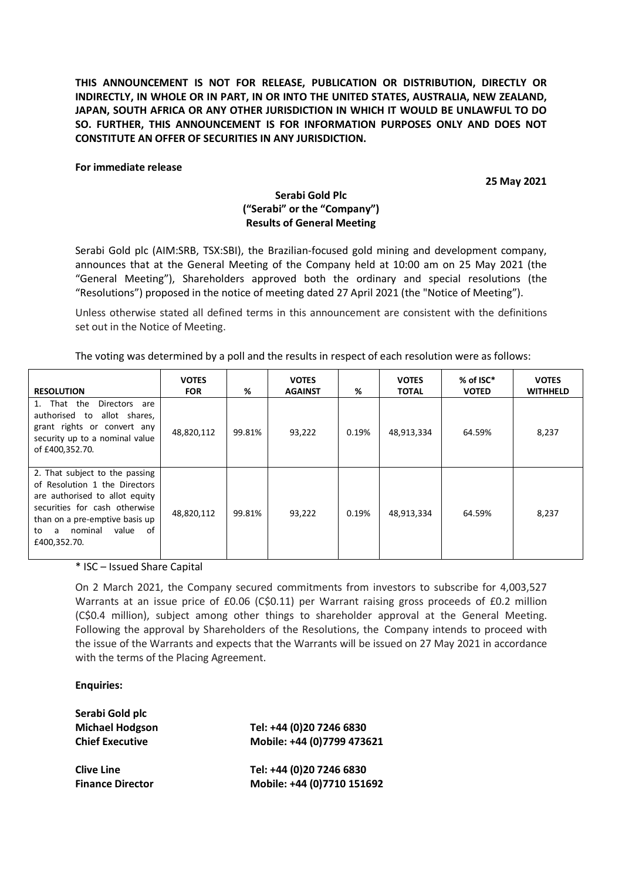**THIS ANNOUNCEMENT IS NOT FOR RELEASE, PUBLICATION OR DISTRIBUTION, DIRECTLY OR INDIRECTLY, IN WHOLE OR IN PART, IN OR INTO THE UNITED STATES, AUSTRALIA, NEW ZEALAND, JAPAN, SOUTH AFRICA OR ANY OTHER JURISDICTION IN WHICH IT WOULD BE UNLAWFUL TO DO SO. FURTHER, THIS ANNOUNCEMENT IS FOR INFORMATION PURPOSES ONLY AND DOES NOT CONSTITUTE AN OFFER OF SECURITIES IN ANY JURISDICTION.** 

## **For immediate release**

**25 May 2021**

## **Serabi Gold Plc ("Serabi" or the "Company") Results of General Meeting**

Serabi Gold plc (AIM:SRB, TSX:SBI), the Brazilian-focused gold mining and development company, announces that at the General Meeting of the Company held at 10:00 am on 25 May 2021 (the "General Meeting"), Shareholders approved both the ordinary and special resolutions (the "Resolutions") proposed in the notice of meeting dated 27 April 2021 (the "Notice of Meeting").

Unless otherwise stated all defined terms in this announcement are consistent with the definitions set out in the Notice of Meeting.

The voting was determined by a poll and the results in respect of each resolution were as follows:

| <b>RESOLUTION</b>                                                                                                                                                                                                      | <b>VOTES</b><br><b>FOR</b> | %      | <b>VOTES</b><br><b>AGAINST</b> | %     | <b>VOTES</b><br><b>TOTAL</b> | % of ISC*<br><b>VOTED</b> | <b>VOTES</b><br><b>WITHHELD</b> |
|------------------------------------------------------------------------------------------------------------------------------------------------------------------------------------------------------------------------|----------------------------|--------|--------------------------------|-------|------------------------------|---------------------------|---------------------------------|
| 1. That the<br>Directors<br>are<br>authorised to allot shares,<br>grant rights or convert any<br>security up to a nominal value<br>of £400,352.70.                                                                     | 48,820,112                 | 99.81% | 93,222                         | 0.19% | 48,913,334                   | 64.59%                    | 8,237                           |
| 2. That subject to the passing<br>of Resolution 1 the Directors<br>are authorised to allot equity<br>securities for cash otherwise<br>than on a pre-emptive basis up<br>nominal<br>value<br>of<br>to a<br>£400,352.70. | 48,820,112                 | 99.81% | 93,222                         | 0.19% | 48,913,334                   | 64.59%                    | 8,237                           |

\* ISC – Issued Share Capital

On 2 March 2021, the Company secured commitments from investors to subscribe for 4,003,527 Warrants at an issue price of £0.06 (C\$0.11) per Warrant raising gross proceeds of £0.2 million (C\$0.4 million), subject among other things to shareholder approval at the General Meeting. Following the approval by Shareholders of the Resolutions, the Company intends to proceed with the issue of the Warrants and expects that the Warrants will be issued on 27 May 2021 in accordance with the terms of the Placing Agreement.

## **Enquiries:**

| Serabi Gold plc         |                            |
|-------------------------|----------------------------|
| <b>Michael Hodgson</b>  | Tel: +44 (0)20 7246 6830   |
| <b>Chief Executive</b>  | Mobile: +44 (0)7799 473621 |
| <b>Clive Line</b>       | Tel: +44 (0)20 7246 6830   |
| <b>Finance Director</b> | Mobile: +44 (0)7710 151692 |